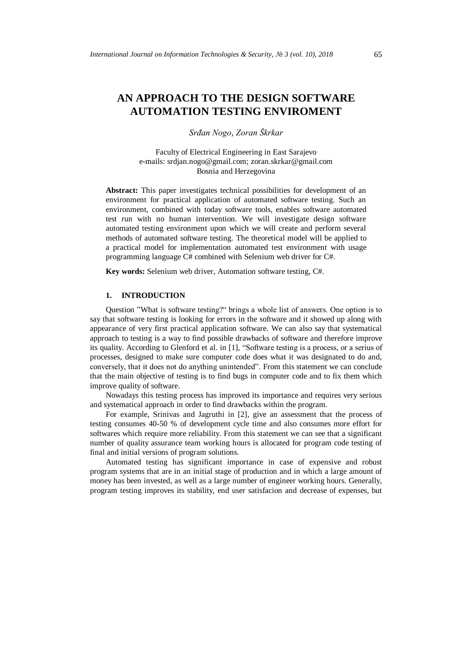# **AN APPROACH TO THE DESIGN SOFTWARE AUTOMATION TESTING ENVIROMENT**

*Srđan Nogo, Zoran Škrkar* 

Faculty of Electrical Engineering in East Sarajevo e-mails: srdjan.nogo@gmail.com; zoran.skrkar@gmail.com Bosnia and Herzegovina

**Abstract:** This paper investigates technical possibilities for development of an environment for practical application of automated software testing. Such an environment, combined with today software tools, enables software automated test run with no human intervention. We will investigate design software automated testing environment upon which we will create and perform several methods of automated software testing. The theoretical model will be applied to a practical model for implementation automated test environment with usage programming language C# combined with Selenium web driver for C#.

**Key words:** Selenium web driver, Automation software testing, C#.

# **1. INTRODUCTION**

Question "What is software testing?" brings a whole list of answers. One option is to say that software testing is looking for errors in the software and it showed up along with appearance of very first practical application software. We can also say that systematical approach to testing is a way to find possible drawbacks of software and therefore improve its quality. According to Glenford et al. in [1], "Software testing is a process, or a serius of processes, designed to make sure computer code does what it was designated to do and, conversely, that it does not do anything unintended". From this statement we can conclude that the main objective of testing is to find bugs in computer code and to fix them which improve quality of software.

Nowadays this testing process has improved its importance and requires very serious and systematical approach in order to find drawbacks within the program.

For example, Srinivas and Jagruthi in [2], give an assessment that the process of testing consumes 40-50 % of development cycle time and also consumes more effort for softwares which require more reliability. From this statement we can see that a significant number of quality assurance team working hours is allocated for program code testing of final and initial versions of program solutions.

Automated testing has significant importance in case of expensive and robust program systems that are in an initial stage of production and in which a large amount of money has been invested, as well as a large number of engineer working hours. Generally, program testing improves its stability, end user satisfacion and decrease of expenses, but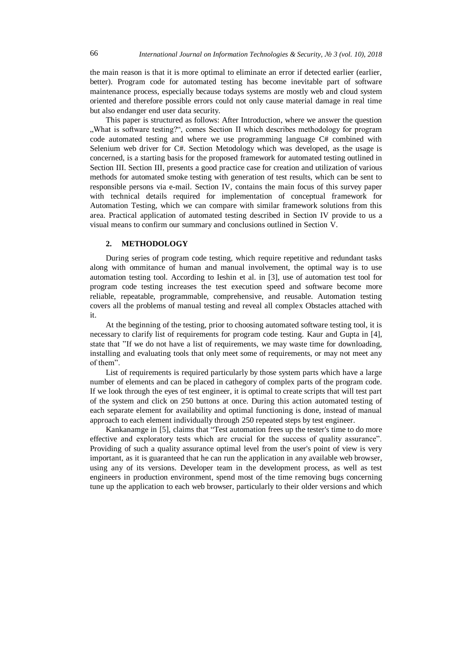the main reason is that it is more optimal to eliminate an error if detected earlier (earlier, better). Program code for automated testing has become inevitable part of software maintenance process, especially because todays systems are mostly web and cloud system oriented and therefore possible errors could not only cause material damage in real time but also endanger end user data security.

This paper is structured as follows: After Introduction, where we answer the question "What is software testing?", comes Section II which describes methodology for program code automated testing and where we use programming language C# combined with Selenium web driver for C#. Section Metodology which was developed, as the usage is concerned, is a starting basis for the proposed framework for automated testing outlined in Section III. Section III, presents a good practice case for creation and utilization of various methods for automated smoke testing with generation of test results, which can be sent to responsible persons via e-mail. Section IV, contains the main focus of this survey paper with technical details required for implementation of conceptual framework for Automation Testing, which we can compare with similar framework solutions from this area. Practical application of automated testing described in Section IV provide to us a visual means to confirm our summary and conclusions outlined in Section V.

### **2. METHODOLOGY**

During series of program code testing, which require repetitive and redundant tasks along with ommitance of human and manual involvement, the optimal way is to use automation testing tool. According to Ieshin et al. in [3], use of automation test tool for program code testing increases the test execution speed and software become more reliable, repeatable, programmable, comprehensive, and reusable. Automation testing covers all the problems of manual testing and reveal all complex Obstacles attached with it.

At the beginning of the testing, prior to choosing automated software testing tool, it is necessary to clarify list of requirements for program code testing. Kaur and Gupta in [4], state that "If we do not have a list of requirements, we may waste time for downloading, installing and evaluating tools that only meet some of requirements, or may not meet any of them".

List of requirements is required particularly by those system parts which have a large number of elements and can be placed in cathegory of complex parts of the program code. If we look through the eyes of test engineer, it is optimal to create scripts that will test part of the system and click on 250 buttons at once. During this action automated testing of each separate element for availability and optimal functioning is done, instead of manual approach to each element individually through 250 repeated steps by test engineer.

Kankanamge in [5], claims that "Test automation frees up the tester's time to do more effective and exploratory tests which are crucial for the success of quality assurance". Providing of such a quality assurance optimal level from the user's point of view is very important, as it is guaranteed that he can run the application in any available web browser, using any of its versions. Developer team in the development process, as well as test engineers in production environment, spend most of the time removing bugs concerning tune up the application to each web browser, particularly to their older versions and which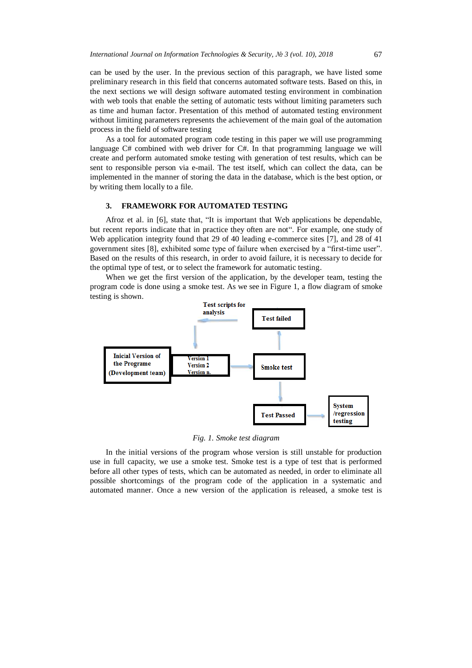can be used by the user. In the previous section of this paragraph, we have listed some preliminary research in this field that concerns automated software tests. Based on this, in the next sections we will design software automated testing environment in combination with web tools that enable the setting of automatic tests without limiting parameters such as time and human factor. Presentation of this method of automated testing environment without limiting parameters represents the achievement of the main goal of the automation process in the field of software testing

As a tool for automated program code testing in this paper we will use programming language C# combined with web driver for C#. In that programming language we will create and perform automated smoke testing with generation of test results, which can be sent to responsible person via e-mail. The test itself, which can collect the data, can be implemented in the manner of storing the data in the database, which is the best option, or by writing them locally to a file.

### **3. FRAMEWORK FOR AUTOMATED TESTING**

Afroz et al. in [6], state that, "It is important that Web applications be dependable, but recent reports indicate that in practice they often are not". For example, one study of Web application integrity found that 29 of 40 leading e-commerce sites [7], and 28 of 41 government sites [8], exhibited some type of failure when exercised by a "first-time user". Based on the results of this research, in order to avoid failure, it is necessary to decide for the optimal type of test, or to select the framework for automatic testing.

When we get the first version of the application, by the developer team, testing the program code is done using a smoke test. As we see in Figure 1, a flow diagram of smoke testing is shown.



*Fig. 1. Smoke test diagram*

In the initial versions of the program whose version is still unstable for production use in full capacity, we use a smoke test. Smoke test is a type of test that is performed before all other types of tests, which can be automated as needed, in order to eliminate all possible shortcomings of the program code of the application in a systematic and automated manner. Once a new version of the application is released, a smoke test is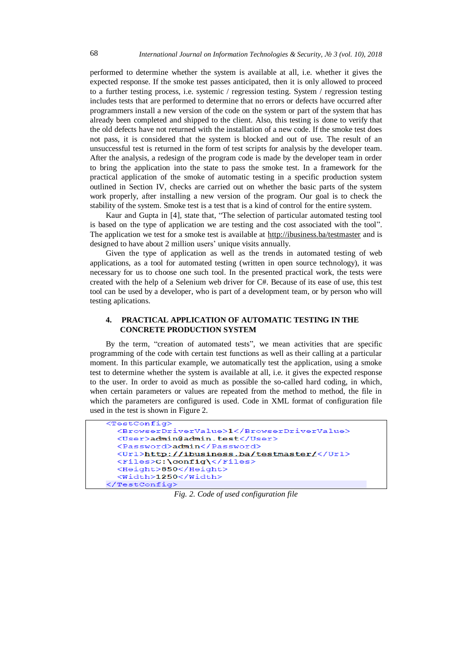performed to determine whether the system is available at all, i.e. whether it gives the expected response. If the smoke test passes anticipated, then it is only allowed to proceed to a further testing process, i.e. systemic / regression testing. System / regression testing includes tests that are performed to determine that no errors or defects have occurred after programmers install a new version of the code on the system or part of the system that has already been completed and shipped to the client. Also, this testing is done to verify that the old defects have not returned with the installation of a new code. If the smoke test does not pass, it is considered that the system is blocked and out of use. The result of an unsuccessful test is returned in the form of test scripts for analysis by the developer team. After the analysis, a redesign of the program code is made by the developer team in order to bring the application into the state to pass the smoke test. In a framework for the practical application of the smoke of automatic testing in a specific production system outlined in Section IV, checks are carried out on whether the basic parts of the system work properly, after installing a new version of the program. Our goal is to check the stability of the system. Smoke test is a test that is a kind of control for the entire system.

Kaur and Gupta in [4], state that, "The selection of particular automated testing tool is based on the type of application we are testing and the cost associated with the tool". The application we test for a smoke test is available at<http://ibusiness.ba/testmaster> and is designed to have about 2 million users' unique visits annually.

Given the type of application as well as the trends in automated testing of web applications, as a tool for automated testing (written in open source technology), it was necessary for us to choose one such tool. In the presented practical work, the tests were created with the help of a Selenium web driver for C#. Because of its ease of use, this test tool can be used by a developer, who is part of a development team, or by person who will testing aplications.

## **4. PRACTICAL APPLICATION OF AUTOMATIC TESTING IN THE CONCRETE PRODUCTION SYSTEM**

By the term, "creation of automated tests", we mean activities that are specific programming of the code with certain test functions as well as their calling at a particular moment. In this particular example, we automatically test the application, using a smoke test to determine whether the system is available at all, i.e. it gives the expected response to the user. In order to avoid as much as possible the so-called hard coding, in which, when certain parameters or values are repeated from the method to method, the file in which the parameters are configured is used. Code in XML format of configuration file used in the test is shown in Figure 2.



*Fig. 2. Code of used configuration file*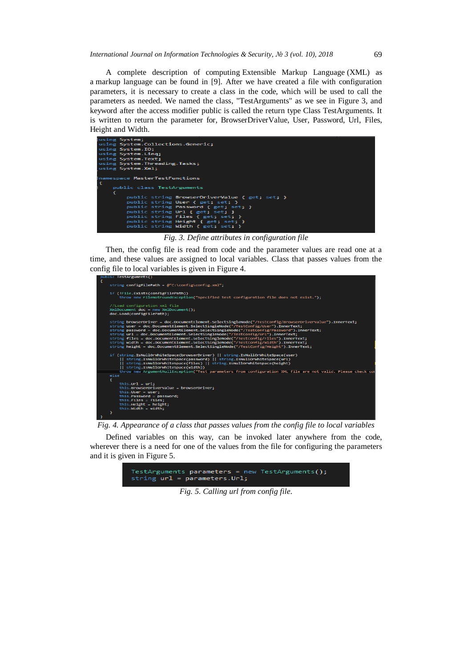A complete description of computing Extensible Markup Language (XML) as a [markup language](https://en.wikipedia.org/wiki/Markup_language) can be found in [9]. After we have created a file with configuration parameters, it is necessary to create a class in the code, which will be used to call the parameters as needed. We named the class, "TestArguments" as we see in Figure 3, and keyword after the access modifier public is called the return type Class TestArguments. It is written to return the parameter for, BrowserDriverValue, User, Password, Url, Files, Height and Width.



*Fig. 3. Define attributes in configuration file*

Then, the config file is read from code and the parameter values are read one at a time, and these values are assigned to local variables. Class that passes values from the config file to local variables is given in Figure 4.



*Fig. 4. Appearance of a class that passes values from the config file to local variables*

Defined variables on this way, can be invoked later anywhere from the code, wherever there is a need for one of the values from the file for configuring the parameters and it is given in Figure 5.



*Fig. 5. Calling url from config file.*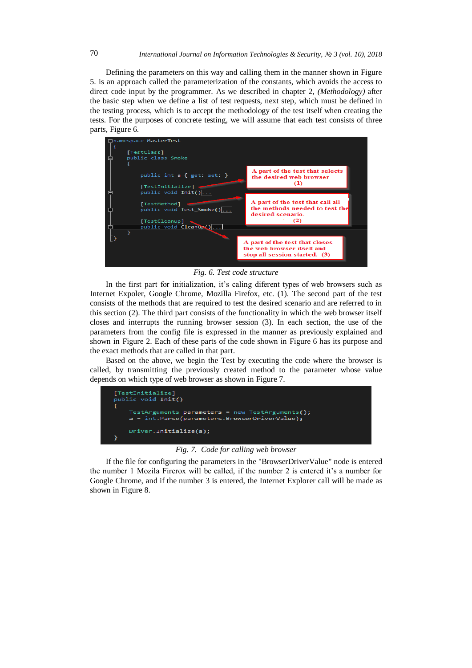Defining the parameters on this way and calling them in the manner shown in Figure 5. is an approach called the parameterization of the constants, which avoids the access to direct code input by the programmer. As we described in chapter 2, *(Methodology)* after the basic step when we define a list of test requests, next step, which must be defined in the testing process, which is to accept the methodology of the test itself when creating the tests. For the purposes of concrete testing, we will assume that each test consists of three parts, Figure 6.



*Fig. 6. Test code structure*

In the first part for initialization, it's caling diferent types of web browsers such as Internet Expoler, Google Chrome, Mozilla Firefox, etc. (1). The second part of the test consists of the methods that are required to test the desired scenario and are referred to in this section (2). The third part consists of the functionality in which the web browser itself closes and interrupts the running browser session (3). In each section, the use of the parameters from the config file is expressed in the manner as previously explained and shown in Figure 2. Each of these parts of the code shown in Figure 6 has its purpose and the exact methods that are called in that part.

Based on the above, we begin the Test by executing the code where the browser is called, by transmitting the previously created method to the parameter whose value depends on which type of web browser as shown in Figure 7.



*Fig. 7. Code for calling web browser*

If the file for configuring the parameters in the "BrowserDriverValue" node is entered the number 1 Mozila Firerox will be called, if the number 2 is entered it's a number for Google Chrome, and if the number 3 is entered, the Internet Explorer call will be made as shown in Figure 8.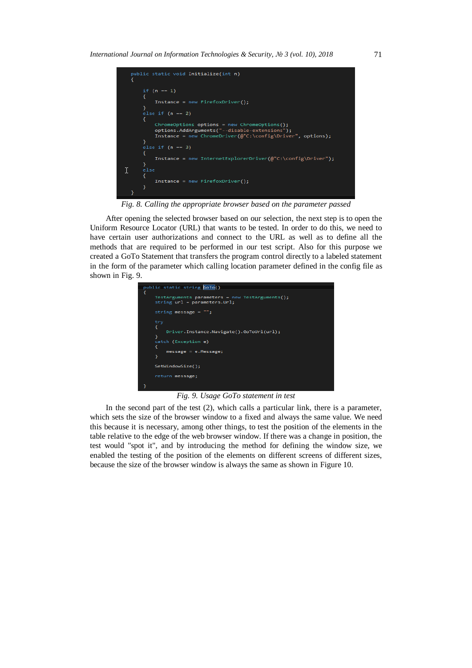

*Fig. 8. Calling the appropriate browser based on the parameter passed*

After opening the selected browser based on our selection, the next step is to open the Uniform Resource Locator (URL) that wants to be tested. In order to do this, we need to have certain user authorizations and connect to the URL as well as to define all the methods that are required to be performed in our test script. Also for this purpose we created a GoTo Statement that transfers the program control directly to a labeled statement in the form of the parameter which calling location parameter defined in the config file as shown in Fig. 9.



*Fig. 9. Usage GoTo statement in test*

In the second part of the test (2), which calls a particular link, there is a parameter, which sets the size of the browser window to a fixed and always the same value. We need this because it is necessary, among other things, to test the position of the elements in the table relative to the edge of the web browser window. If there was a change in position, the test would "spot it", and by introducing the method for defining the window size, we enabled the testing of the position of the elements on different screens of different sizes, because the size of the browser window is always the same as shown in Figure 10.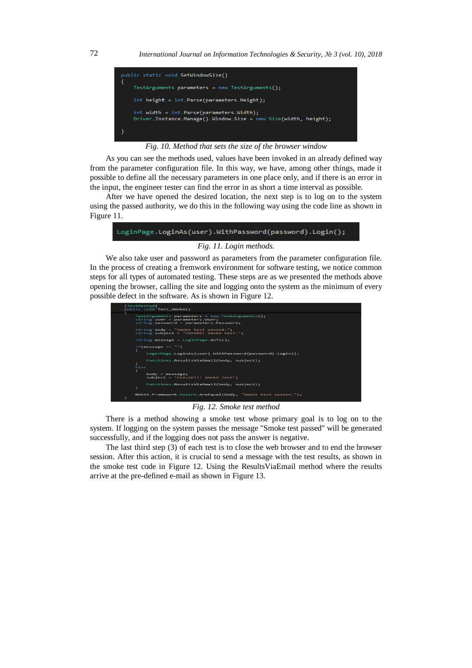



As you can see the methods used, values have been invoked in an already defined way from the parameter configuration file. In this way, we have, among other things, made it possible to define all the necessary parameters in one place only, and if there is an error in the input, the engineer tester can find the error in as short a time interval as possible.

After we have opened the desired location, the next step is to log on to the system using the passed authority, we do this in the following way using the code line as shown in Figure 11.



We also take user and password as parameters from the parameter configuration file. In the process of creating a fremwork environment for software testing, we notice common steps for all types of automated testing. These steps are as we presented the methods above opening the browser, calling the site and logging onto the system as the minimum of every possible defect in the software. As is shown in Figure 12.



#### *Fig. 12. Smoke test method*

There is a method showing a smoke test whose primary goal is to log on to the system. If logging on the system passes the message "Smoke test passed" will be generated successfully, and if the logging does not pass the answer is negative.

The last third step (3) of each test is to close the web browser and to end the browser session. After this action, it is crucial to send a message with the test results, as shown in the smoke test code in Figure 12. Using the ResultsViaEmail method where the results arrive at the pre-defined e-mail as shown in Figure 13.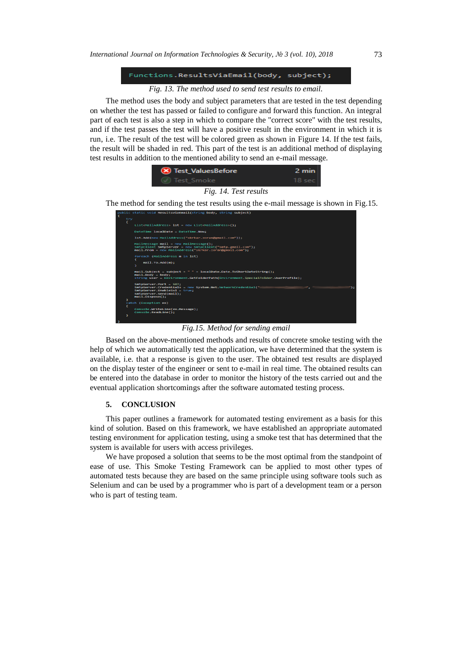# Functions.ResultsViaEmail(body, subject);

#### *Fig. 13. The method used to send test results to email.*

The method uses the body and subject parameters that are tested in the test depending on whether the test has passed or failed to configure and forward this function. An integral part of each test is also a step in which to compare the "correct score" with the test results, and if the test passes the test will have a positive result in the environment in which it is run, i.e. The result of the test will be colored green as shown in Figure 14. If the test fails, the result will be shaded in red. This part of the test is an additional method of displaying test results in addition to the mentioned ability to send an e-mail message.

| (X) Test ValuesBefore | 2 min    |
|-----------------------|----------|
| ( ) Test Smoke        | 18 sec l |
| Fig. 14. Test results |          |

The method for sending the test results using the e-mail message is shown in Fig.15.

| Ł |     |                                                                                                                                                                               |
|---|-----|-------------------------------------------------------------------------------------------------------------------------------------------------------------------------------|
|   | trv |                                                                                                                                                                               |
|   |     | List <mailaddress> lst = new List<mailaddress>();</mailaddress></mailaddress>                                                                                                 |
|   |     | $Datterime$ $localDate = DateTime. Now:$                                                                                                                                      |
|   |     | lst.Add(new MailAddress("skrkar.zoran@gmail.com")):                                                                                                                           |
|   |     | MailMessage mail - new MailMessage():<br>SmtpClient SmtpServer = new SmtpClient("smtp.gmail.com");<br>mail.From = new MailAddress("skrkar.zoran@gmail.com");                  |
|   |     | foreach (MailAddress m in lst)<br>$mail.To.add(m)$ :                                                                                                                          |
|   |     |                                                                                                                                                                               |
|   |     | mail.Subject = subject + " " + localDate.Date.ToShortDateString();<br>$mail.Body = body$ :<br>string user = Environment.GetFolderPath(Environment.SpecialFolder.UserProfile): |
|   |     | SmtpServer.Port - 587:<br>SmtpServer.Credentials = new System.Net.NetworkCredential("<br>SmtpServer.EnableSsl = true;                                                         |
|   |     | SmtpServer.Send(mail);<br>mail.Dispose():                                                                                                                                     |
|   |     |                                                                                                                                                                               |
|   |     | catch (Exception ex)                                                                                                                                                          |
|   | x   | Console.WriteLine(ex.Message);                                                                                                                                                |
|   |     | Console.ReadLine();                                                                                                                                                           |
|   |     |                                                                                                                                                                               |

# *Fig.15. Method for sending email*

Based on the above-mentioned methods and results of concrete smoke testing with the help of which we automatically test the application, we have determined that the system is available, i.e. that a response is given to the user. The obtained test results are displayed on the display tester of the engineer or sent to e-mail in real time. The obtained results can be entered into the database in order to monitor the history of the tests carried out and the eventual application shortcomings after the software automated testing process.

#### **5. CONCLUSION**

This paper outlines a framework for automated testing envirement as a basis for this kind of solution. Based on this framework, we have established an appropriate automated testing environment for application testing, using a smoke test that has determined that the system is available for users with access privileges.

We have proposed a solution that seems to be the most optimal from the standpoint of ease of use. This Smoke Testing Framework can be applied to most other types of automated tests because they are based on the same principle using software tools such as Selenium and can be used by a programmer who is part of a development team or a person who is part of testing team.